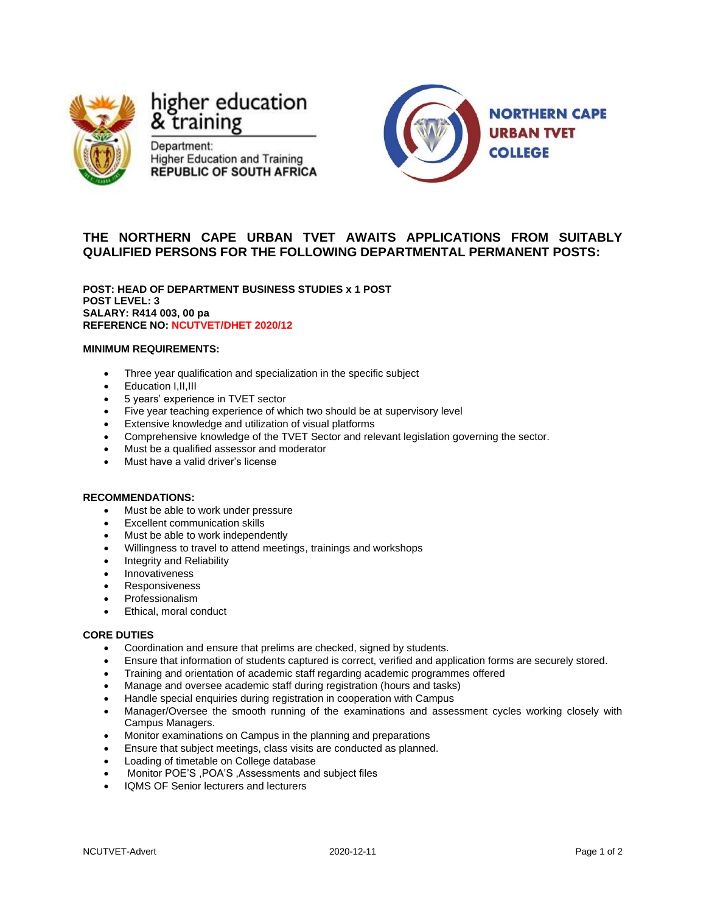

# higher education & training

Department: **Higher Education and Training REPUBLIC OF SOUTH AFRICA** 



# **THE NORTHERN CAPE URBAN TVET AWAITS APPLICATIONS FROM SUITABLY QUALIFIED PERSONS FOR THE FOLLOWING DEPARTMENTAL PERMANENT POSTS:**

**POST: HEAD OF DEPARTMENT BUSINESS STUDIES x 1 POST POST LEVEL: 3 SALARY: R414 003, 00 pa REFERENCE NO: NCUTVET/DHET 2020/12**

## **MINIMUM REQUIREMENTS:**

- Three year qualification and specialization in the specific subject
- Education I,II,III
- 5 years' experience in TVET sector
- Five year teaching experience of which two should be at supervisory level
- Extensive knowledge and utilization of visual platforms
- Comprehensive knowledge of the TVET Sector and relevant legislation governing the sector.
- Must be a qualified assessor and moderator
- Must have a valid driver's license

#### **RECOMMENDATIONS:**

- Must be able to work under pressure
- Excellent communication skills
- Must be able to work independently
- Willingness to travel to attend meetings, trainings and workshops
- Integrity and Reliability
- Innovativeness
- Responsiveness
- Professionalism
- Ethical, moral conduct

### **CORE DUTIES**

- Coordination and ensure that prelims are checked, signed by students.
- Ensure that information of students captured is correct, verified and application forms are securely stored.
- Training and orientation of academic staff regarding academic programmes offered
- Manage and oversee academic staff during registration (hours and tasks)
- Handle special enquiries during registration in cooperation with Campus
- Manager/Oversee the smooth running of the examinations and assessment cycles working closely with Campus Managers.
- Monitor examinations on Campus in the planning and preparations
- Ensure that subject meetings, class visits are conducted as planned.
- Loading of timetable on College database
- Monitor POE'S ,POA'S ,Assessments and subject files
- IQMS OF Senior lecturers and lecturers